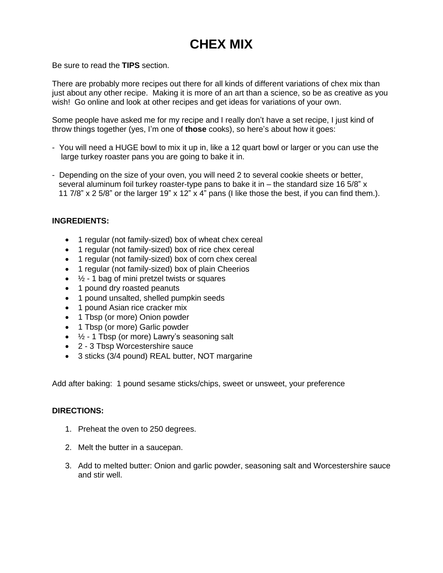## **CHEX MIX**

Be sure to read the **TIPS** section.

There are probably more recipes out there for all kinds of different variations of chex mix than just about any other recipe. Making it is more of an art than a science, so be as creative as you wish! Go online and look at other recipes and get ideas for variations of your own.

Some people have asked me for my recipe and I really don't have a set recipe, I just kind of throw things together (yes, I'm one of **those** cooks), so here's about how it goes:

- You will need a HUGE bowl to mix it up in, like a 12 quart bowl or larger or you can use the large turkey roaster pans you are going to bake it in.
- Depending on the size of your oven, you will need 2 to several cookie sheets or better, several aluminum foil turkey roaster-type pans to bake it in  $-$  the standard size 16 5/8" x 11 7/8" x 2 5/8" or the larger 19" x 12" x 4" pans (I like those the best, if you can find them.).

## **INGREDIENTS:**

- 1 regular (not family-sized) box of wheat chex cereal
- 1 regular (not family-sized) box of rice chex cereal
- 1 regular (not family-sized) box of corn chex cereal
- 1 regular (not family-sized) box of plain Cheerios
- $\bullet$   $\frac{1}{2}$  1 bag of mini pretzel twists or squares
- 1 pound dry roasted peanuts
- 1 pound unsalted, shelled pumpkin seeds
- 1 pound Asian rice cracker mix
- 1 Tbsp (or more) Onion powder
- 1 Tbsp (or more) Garlic powder
- $\bullet$   $\frac{1}{2}$  1 Tbsp (or more) Lawry's seasoning salt
- 2 3 Tbsp Worcestershire sauce
- 3 sticks (3/4 pound) REAL butter, NOT margarine

Add after baking: 1 pound sesame sticks/chips, sweet or unsweet, your preference

## **DIRECTIONS:**

- 1. Preheat the oven to 250 degrees.
- 2. Melt the butter in a saucepan.
- 3. Add to melted butter: Onion and garlic powder, seasoning salt and Worcestershire sauce and stir well.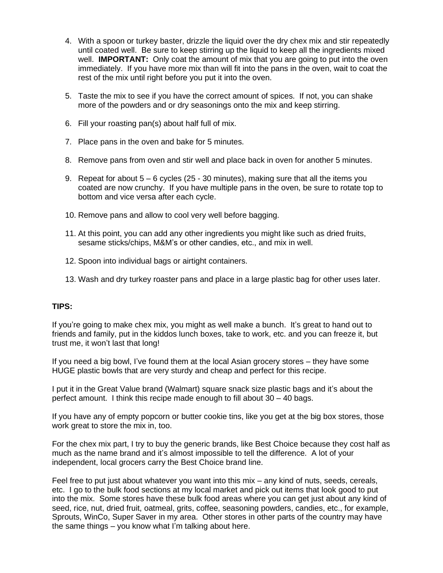- 4. With a spoon or turkey baster, drizzle the liquid over the dry chex mix and stir repeatedly until coated well. Be sure to keep stirring up the liquid to keep all the ingredients mixed well. **IMPORTANT:** Only coat the amount of mix that you are going to put into the oven immediately. If you have more mix than will fit into the pans in the oven, wait to coat the rest of the mix until right before you put it into the oven.
- 5. Taste the mix to see if you have the correct amount of spices. If not, you can shake more of the powders and or dry seasonings onto the mix and keep stirring.
- 6. Fill your roasting pan(s) about half full of mix.
- 7. Place pans in the oven and bake for 5 minutes.
- 8. Remove pans from oven and stir well and place back in oven for another 5 minutes.
- 9. Repeat for about 5 6 cycles (25 30 minutes), making sure that all the items you coated are now crunchy. If you have multiple pans in the oven, be sure to rotate top to bottom and vice versa after each cycle.
- 10. Remove pans and allow to cool very well before bagging.
- 11. At this point, you can add any other ingredients you might like such as dried fruits, sesame sticks/chips, M&M's or other candies, etc., and mix in well.
- 12. Spoon into individual bags or airtight containers.
- 13. Wash and dry turkey roaster pans and place in a large plastic bag for other uses later.

## **TIPS:**

If you're going to make chex mix, you might as well make a bunch. It's great to hand out to friends and family, put in the kiddos lunch boxes, take to work, etc. and you can freeze it, but trust me, it won't last that long!

If you need a big bowl, I've found them at the local Asian grocery stores – they have some HUGE plastic bowls that are very sturdy and cheap and perfect for this recipe.

I put it in the Great Value brand (Walmart) square snack size plastic bags and it's about the perfect amount. I think this recipe made enough to fill about 30 – 40 bags.

If you have any of empty popcorn or butter cookie tins, like you get at the big box stores, those work great to store the mix in, too.

For the chex mix part, I try to buy the generic brands, like Best Choice because they cost half as much as the name brand and it's almost impossible to tell the difference. A lot of your independent, local grocers carry the Best Choice brand line.

Feel free to put just about whatever you want into this mix – any kind of nuts, seeds, cereals, etc. I go to the bulk food sections at my local market and pick out items that look good to put into the mix. Some stores have these bulk food areas where you can get just about any kind of seed, rice, nut, dried fruit, oatmeal, grits, coffee, seasoning powders, candies, etc., for example, Sprouts, WinCo, Super Saver in my area. Other stores in other parts of the country may have the same things – you know what I'm talking about here.